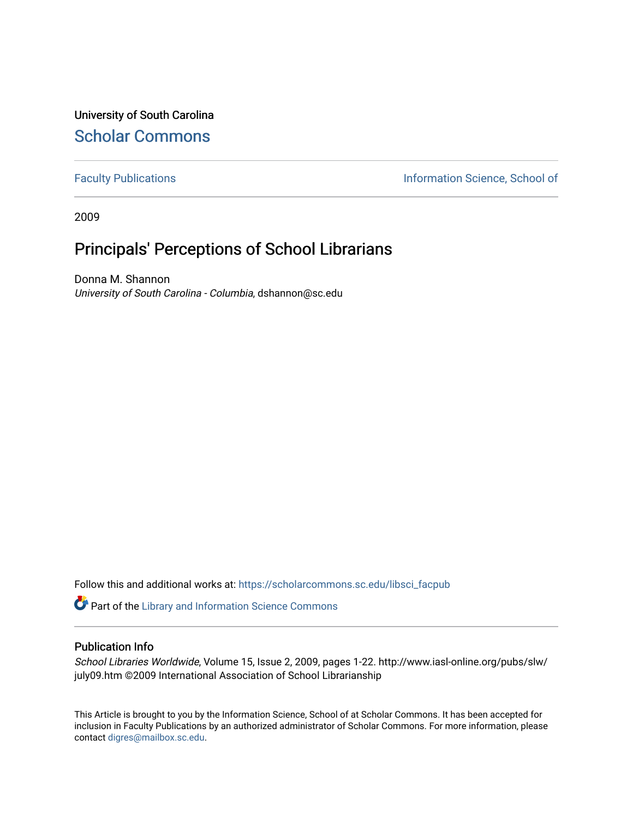University of South Carolina [Scholar Commons](https://scholarcommons.sc.edu/) 

[Faculty Publications](https://scholarcommons.sc.edu/libsci_facpub) **Information Science, School of Information Science**, School of

2009

# Principals' Perceptions of School Librarians

Donna M. Shannon University of South Carolina - Columbia, dshannon@sc.edu

Follow this and additional works at: [https://scholarcommons.sc.edu/libsci\\_facpub](https://scholarcommons.sc.edu/libsci_facpub?utm_source=scholarcommons.sc.edu%2Flibsci_facpub%2F28&utm_medium=PDF&utm_campaign=PDFCoverPages) 

Part of the [Library and Information Science Commons](http://network.bepress.com/hgg/discipline/1018?utm_source=scholarcommons.sc.edu%2Flibsci_facpub%2F28&utm_medium=PDF&utm_campaign=PDFCoverPages) 

#### Publication Info

School Libraries Worldwide, Volume 15, Issue 2, 2009, pages 1-22. http://www.iasl-online.org/pubs/slw/ july09.htm ©2009 International Association of School Librarianship

This Article is brought to you by the Information Science, School of at Scholar Commons. It has been accepted for inclusion in Faculty Publications by an authorized administrator of Scholar Commons. For more information, please contact [digres@mailbox.sc.edu.](mailto:digres@mailbox.sc.edu)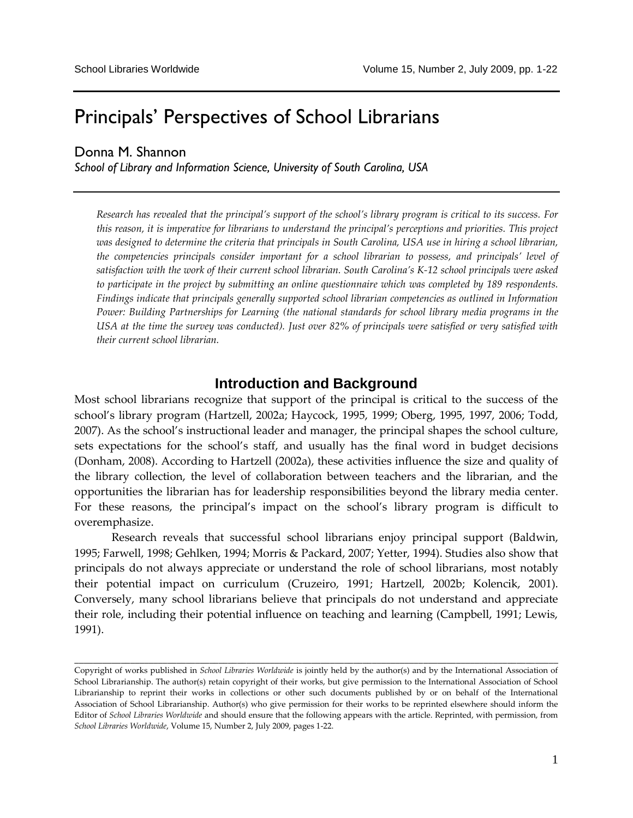# Principals' Perspectives of School Librarians

Donna M. Shannon

*School of Library and Information Science, University of South Carolina, USA*

*Research has revealed that the principal's support of the school's library program is critical to its success. For this reason, it is imperative for librarians to understand the principal's perceptions and priorities. This project was designed to determine the criteria that principals in South Carolina, USA use in hiring a school librarian, the competencies principals consider important for a school librarian to possess, and principals' level of satisfaction with the work of their current school librarian. South Carolina's K-12 school principals were asked to participate in the project by submitting an online questionnaire which was completed by 189 respondents. Findings indicate that principals generally supported school librarian competencies as outlined in Information Power: Building Partnerships for Learning (the national standards for school library media programs in the USA at the time the survey was conducted). Just over 82% of principals were satisfied or very satisfied with their current school librarian.* 

#### **Introduction and Background**

Most school librarians recognize that support of the principal is critical to the success of the school's library program (Hartzell, 2002a; Haycock, 1995, 1999; Oberg, 1995, 1997, 2006; Todd, 2007). As the school's instructional leader and manager, the principal shapes the school culture, sets expectations for the school's staff, and usually has the final word in budget decisions (Donham, 2008). According to Hartzell (2002a), these activities influence the size and quality of the library collection, the level of collaboration between teachers and the librarian, and the opportunities the librarian has for leadership responsibilities beyond the library media center. For these reasons, the principal's impact on the school's library program is difficult to overemphasize.

Research reveals that successful school librarians enjoy principal support (Baldwin, 1995; Farwell, 1998; Gehlken, 1994; Morris & Packard, 2007; Yetter, 1994). Studies also show that principals do not always appreciate or understand the role of school librarians, most notably their potential impact on curriculum (Cruzeiro, 1991; Hartzell, 2002b; Kolencik, 2001). Conversely, many school librarians believe that principals do not understand and appreciate their role, including their potential influence on teaching and learning (Campbell, 1991; Lewis, 1991).

**\_\_\_\_\_\_\_\_\_\_\_\_\_\_\_\_\_\_\_\_\_\_\_\_\_\_\_\_\_\_\_\_\_\_\_\_\_\_\_\_\_\_\_\_\_\_\_\_\_\_\_\_\_\_\_\_\_\_\_\_\_\_\_\_\_\_\_\_\_\_\_\_\_\_\_\_\_\_\_\_\_\_\_\_\_\_\_\_\_\_\_\_\_\_\_\_\_\_\_\_\_\_\_\_**

Copyright of works published in *School Libraries Worldwide* is jointly held by the author(s) and by the International Association of School Librarianship. The author(s) retain copyright of their works, but give permission to the International Association of School Librarianship to reprint their works in collections or other such documents published by or on behalf of the International Association of School Librarianship. Author(s) who give permission for their works to be reprinted elsewhere should inform the Editor of *School Libraries Worldwide* and should ensure that the following appears with the article. Reprinted, with permission, from *School Libraries Worldwide*, Volume 15, Number 2, July 2009, pages 1-22.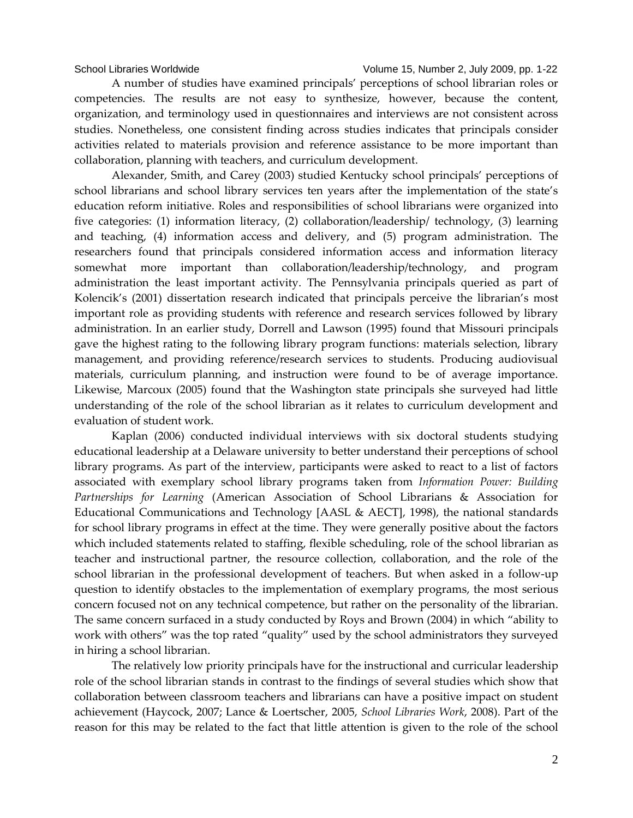A number of studies have examined principals' perceptions of school librarian roles or competencies. The results are not easy to synthesize, however, because the content, organization, and terminology used in questionnaires and interviews are not consistent across studies. Nonetheless, one consistent finding across studies indicates that principals consider activities related to materials provision and reference assistance to be more important than collaboration, planning with teachers, and curriculum development.

Alexander, Smith, and Carey (2003) studied Kentucky school principals' perceptions of school librarians and school library services ten years after the implementation of the state's education reform initiative. Roles and responsibilities of school librarians were organized into five categories: (1) information literacy, (2) collaboration/leadership/ technology, (3) learning and teaching, (4) information access and delivery, and (5) program administration. The researchers found that principals considered information access and information literacy somewhat more important than collaboration/leadership/technology, and program administration the least important activity. The Pennsylvania principals queried as part of Kolencik's (2001) dissertation research indicated that principals perceive the librarian's most important role as providing students with reference and research services followed by library administration. In an earlier study, Dorrell and Lawson (1995) found that Missouri principals gave the highest rating to the following library program functions: materials selection, library management, and providing reference/research services to students. Producing audiovisual materials, curriculum planning, and instruction were found to be of average importance. Likewise, Marcoux (2005) found that the Washington state principals she surveyed had little understanding of the role of the school librarian as it relates to curriculum development and evaluation of student work.

Kaplan (2006) conducted individual interviews with six doctoral students studying educational leadership at a Delaware university to better understand their perceptions of school library programs. As part of the interview, participants were asked to react to a list of factors associated with exemplary school library programs taken from *Information Power: Building Partnerships for Learning* (American Association of School Librarians & Association for Educational Communications and Technology [AASL & AECT], 1998), the national standards for school library programs in effect at the time. They were generally positive about the factors which included statements related to staffing, flexible scheduling, role of the school librarian as teacher and instructional partner, the resource collection, collaboration, and the role of the school librarian in the professional development of teachers. But when asked in a follow-up question to identify obstacles to the implementation of exemplary programs, the most serious concern focused not on any technical competence, but rather on the personality of the librarian. The same concern surfaced in a study conducted by Roys and Brown (2004) in which "ability to work with others" was the top rated "quality" used by the school administrators they surveyed in hiring a school librarian.

The relatively low priority principals have for the instructional and curricular leadership role of the school librarian stands in contrast to the findings of several studies which show that collaboration between classroom teachers and librarians can have a positive impact on student achievement (Haycock, 2007; Lance & Loertscher, 2005, *School Libraries Work*, 2008). Part of the reason for this may be related to the fact that little attention is given to the role of the school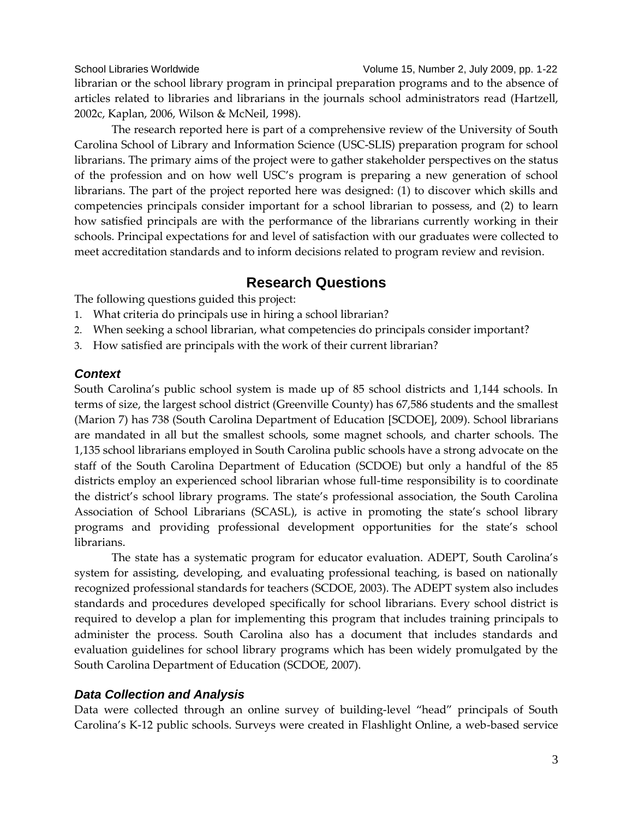School Libraries Worldwide Volume 15, Number 2, July 2009, pp. 1-22 librarian or the school library program in principal preparation programs and to the absence of articles related to libraries and librarians in the journals school administrators read (Hartzell, 2002c, Kaplan, 2006, Wilson & McNeil, 1998).

The research reported here is part of a comprehensive review of the University of South Carolina School of Library and Information Science (USC-SLIS) preparation program for school librarians. The primary aims of the project were to gather stakeholder perspectives on the status of the profession and on how well USC's program is preparing a new generation of school librarians. The part of the project reported here was designed: (1) to discover which skills and competencies principals consider important for a school librarian to possess, and (2) to learn how satisfied principals are with the performance of the librarians currently working in their schools. Principal expectations for and level of satisfaction with our graduates were collected to meet accreditation standards and to inform decisions related to program review and revision.

### **Research Questions**

The following questions guided this project:

- 1. What criteria do principals use in hiring a school librarian?
- 2. When seeking a school librarian, what competencies do principals consider important?
- 3. How satisfied are principals with the work of their current librarian?

### *Context*

South Carolina's public school system is made up of 85 school districts and 1,144 schools. In terms of size, the largest school district (Greenville County) has 67,586 students and the smallest (Marion 7) has 738 (South Carolina Department of Education [SCDOE], 2009). School librarians are mandated in all but the smallest schools, some magnet schools, and charter schools. The 1,135 school librarians employed in South Carolina public schools have a strong advocate on the staff of the South Carolina Department of Education (SCDOE) but only a handful of the 85 districts employ an experienced school librarian whose full-time responsibility is to coordinate the district's school library programs. The state's professional association, the South Carolina Association of School Librarians (SCASL), is active in promoting the state's school library programs and providing professional development opportunities for the state's school librarians.

The state has a systematic program for educator evaluation. ADEPT, South Carolina's system for assisting, developing, and evaluating professional teaching, is based on nationally recognized professional standards for teachers (SCDOE, 2003). The ADEPT system also includes standards and procedures developed specifically for school librarians. Every school district is required to develop a plan for implementing this program that includes training principals to administer the process. South Carolina also has a document that includes standards and evaluation guidelines for school library programs which has been widely promulgated by the South Carolina Department of Education (SCDOE, 2007).

### *Data Collection and Analysis*

Data were collected through an online survey of building-level "head" principals of South Carolina's K-12 public schools. Surveys were created in Flashlight Online, a web-based service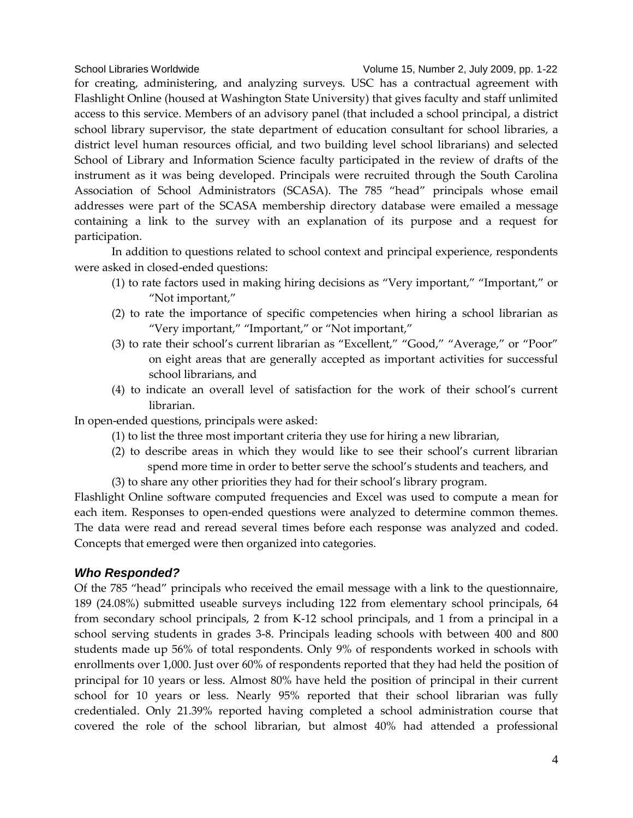for creating, administering, and analyzing surveys. USC has a contractual agreement with Flashlight Online (housed at Washington State University) that gives faculty and staff unlimited access to this service. Members of an advisory panel (that included a school principal, a district school library supervisor, the state department of education consultant for school libraries, a district level human resources official, and two building level school librarians) and selected School of Library and Information Science faculty participated in the review of drafts of the instrument as it was being developed. Principals were recruited through the South Carolina Association of School Administrators (SCASA). The 785 "head" principals whose email addresses were part of the SCASA membership directory database were emailed a message containing a link to the survey with an explanation of its purpose and a request for participation.

In addition to questions related to school context and principal experience, respondents were asked in closed-ended questions:

- (1) to rate factors used in making hiring decisions as "Very important," "Important," or "Not important,"
- (2) to rate the importance of specific competencies when hiring a school librarian as "Very important," "Important," or "Not important,"
- (3) to rate their school's current librarian as "Excellent," "Good," "Average," or "Poor" on eight areas that are generally accepted as important activities for successful school librarians, and
- (4) to indicate an overall level of satisfaction for the work of their school's current librarian.

In open-ended questions, principals were asked:

- (1) to list the three most important criteria they use for hiring a new librarian,
- (2) to describe areas in which they would like to see their school's current librarian spend more time in order to better serve the school's students and teachers, and
- (3) to share any other priorities they had for their school's library program.

Flashlight Online software computed frequencies and Excel was used to compute a mean for each item. Responses to open-ended questions were analyzed to determine common themes. The data were read and reread several times before each response was analyzed and coded. Concepts that emerged were then organized into categories.

#### *Who Responded?*

Of the 785 "head" principals who received the email message with a link to the questionnaire, 189 (24.08%) submitted useable surveys including 122 from elementary school principals, 64 from secondary school principals, 2 from K-12 school principals, and 1 from a principal in a school serving students in grades 3-8. Principals leading schools with between 400 and 800 students made up 56% of total respondents. Only 9% of respondents worked in schools with enrollments over 1,000. Just over 60% of respondents reported that they had held the position of principal for 10 years or less. Almost 80% have held the position of principal in their current school for 10 years or less. Nearly 95% reported that their school librarian was fully credentialed. Only 21.39% reported having completed a school administration course that covered the role of the school librarian, but almost 40% had attended a professional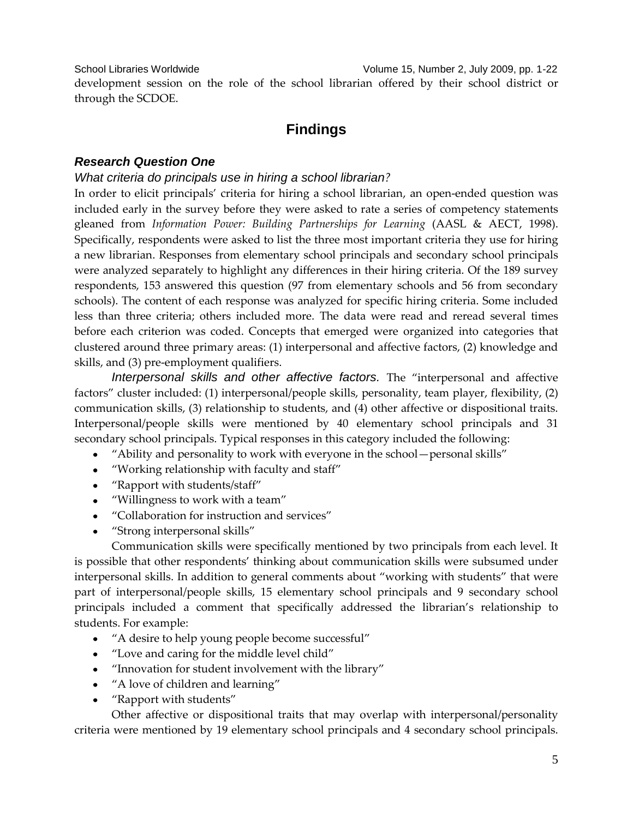School Libraries Worldwide Volume 15, Number 2, July 2009, pp. 1-22 development session on the role of the school librarian offered by their school district or through the SCDOE.

## **Findings**

#### *Research Question One*

#### *What criteria do principals use in hiring a school librarian?*

In order to elicit principals' criteria for hiring a school librarian, an open-ended question was included early in the survey before they were asked to rate a series of competency statements gleaned from *Information Power: Building Partnerships for Learning* (AASL & AECT, 1998). Specifically, respondents were asked to list the three most important criteria they use for hiring a new librarian. Responses from elementary school principals and secondary school principals were analyzed separately to highlight any differences in their hiring criteria. Of the 189 survey respondents, 153 answered this question (97 from elementary schools and 56 from secondary schools). The content of each response was analyzed for specific hiring criteria. Some included less than three criteria; others included more. The data were read and reread several times before each criterion was coded. Concepts that emerged were organized into categories that clustered around three primary areas: (1) interpersonal and affective factors, (2) knowledge and skills, and (3) pre-employment qualifiers.

*Interpersonal skills and other affective factors.* The "interpersonal and affective factors" cluster included: (1) interpersonal/people skills, personality, team player, flexibility, (2) communication skills, (3) relationship to students, and (4) other affective or dispositional traits. Interpersonal/people skills were mentioned by 40 elementary school principals and 31 secondary school principals. Typical responses in this category included the following:

- "Ability and personality to work with everyone in the school—personal skills"
- "Working relationship with faculty and staff"
- "Rapport with students/staff"
- "Willingness to work with a team"
- "Collaboration for instruction and services"
- "Strong interpersonal skills"

Communication skills were specifically mentioned by two principals from each level. It is possible that other respondents' thinking about communication skills were subsumed under interpersonal skills. In addition to general comments about "working with students" that were part of interpersonal/people skills, 15 elementary school principals and 9 secondary school principals included a comment that specifically addressed the librarian's relationship to students. For example:

- "A desire to help young people become successful"
- "Love and caring for the middle level child"
- "Innovation for student involvement with the library"
- "A love of children and learning"
- "Rapport with students"

Other affective or dispositional traits that may overlap with interpersonal/personality criteria were mentioned by 19 elementary school principals and 4 secondary school principals.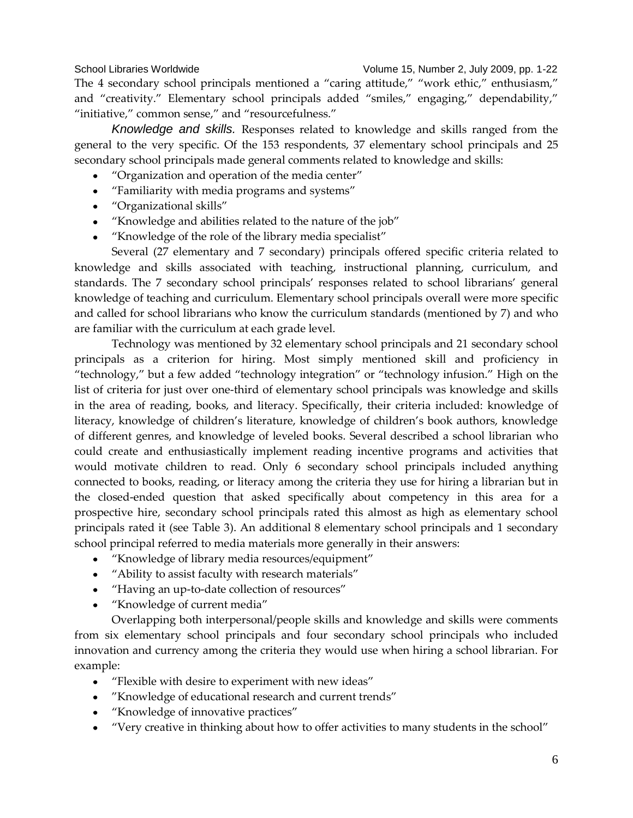School Libraries Worldwide Volume 15, Number 2, July 2009, pp. 1-22 The 4 secondary school principals mentioned a "caring attitude," "work ethic," enthusiasm," and "creativity." Elementary school principals added "smiles," engaging," dependability," "initiative," common sense," and "resourcefulness."

*Knowledge and skills.* Responses related to knowledge and skills ranged from the general to the very specific. Of the 153 respondents, 37 elementary school principals and 25 secondary school principals made general comments related to knowledge and skills:

- "Organization and operation of the media center"
- "Familiarity with media programs and systems"
- "Organizational skills"
- "Knowledge and abilities related to the nature of the job"
- "Knowledge of the role of the library media specialist"

Several (27 elementary and 7 secondary) principals offered specific criteria related to knowledge and skills associated with teaching, instructional planning, curriculum, and standards. The 7 secondary school principals' responses related to school librarians' general knowledge of teaching and curriculum. Elementary school principals overall were more specific and called for school librarians who know the curriculum standards (mentioned by 7) and who are familiar with the curriculum at each grade level.

Technology was mentioned by 32 elementary school principals and 21 secondary school principals as a criterion for hiring. Most simply mentioned skill and proficiency in "technology," but a few added "technology integration" or "technology infusion." High on the list of criteria for just over one-third of elementary school principals was knowledge and skills in the area of reading, books, and literacy. Specifically, their criteria included: knowledge of literacy, knowledge of children's literature, knowledge of children's book authors, knowledge of different genres, and knowledge of leveled books. Several described a school librarian who could create and enthusiastically implement reading incentive programs and activities that would motivate children to read. Only 6 secondary school principals included anything connected to books, reading, or literacy among the criteria they use for hiring a librarian but in the closed-ended question that asked specifically about competency in this area for a prospective hire, secondary school principals rated this almost as high as elementary school principals rated it (see Table 3). An additional 8 elementary school principals and 1 secondary school principal referred to media materials more generally in their answers:

- "Knowledge of library media resources/equipment"
- "Ability to assist faculty with research materials"
- "Having an up-to-date collection of resources"
- "Knowledge of current media"

Overlapping both interpersonal/people skills and knowledge and skills were comments from six elementary school principals and four secondary school principals who included innovation and currency among the criteria they would use when hiring a school librarian. For example:

- "Flexible with desire to experiment with new ideas"  $\bullet$
- "Knowledge of educational research and current trends"
- "Knowledge of innovative practices"
- "Very creative in thinking about how to offer activities to many students in the school"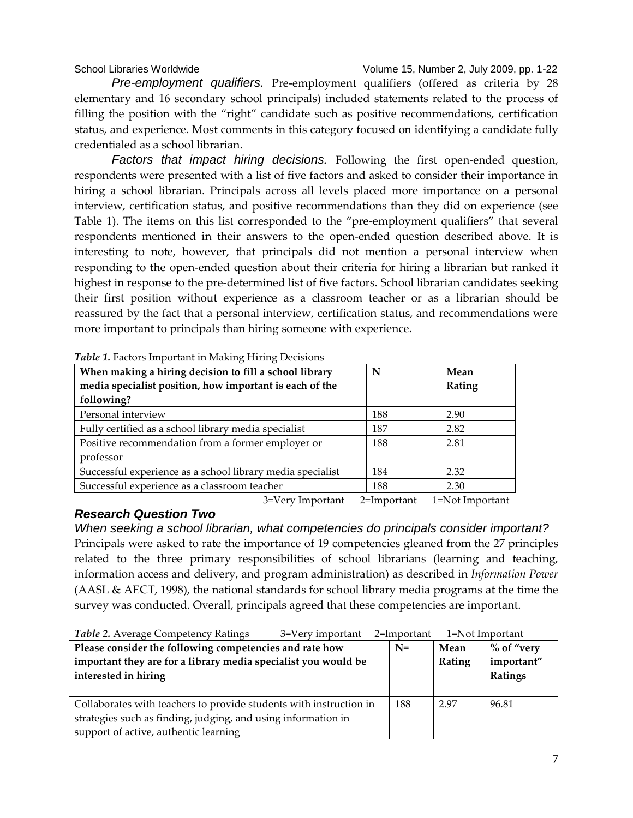*Pre-employment qualifiers.* Pre-employment qualifiers (offered as criteria by 28 elementary and 16 secondary school principals) included statements related to the process of filling the position with the "right" candidate such as positive recommendations, certification status, and experience. Most comments in this category focused on identifying a candidate fully credentialed as a school librarian.

*Factors that impact hiring decisions.* Following the first open-ended question, respondents were presented with a list of five factors and asked to consider their importance in hiring a school librarian. Principals across all levels placed more importance on a personal interview, certification status, and positive recommendations than they did on experience (see Table 1). The items on this list corresponded to the "pre-employment qualifiers" that several respondents mentioned in their answers to the open-ended question described above. It is interesting to note, however, that principals did not mention a personal interview when responding to the open-ended question about their criteria for hiring a librarian but ranked it highest in response to the pre-determined list of five factors. School librarian candidates seeking their first position without experience as a classroom teacher or as a librarian should be reassured by the fact that a personal interview, certification status, and recommendations were more important to principals than hiring someone with experience.

| When making a hiring decision to fill a school library<br>media specialist position, how important is each of the<br>following? | N   | Mean<br>Rating |
|---------------------------------------------------------------------------------------------------------------------------------|-----|----------------|
| Personal interview                                                                                                              | 188 | 2.90           |
| Fully certified as a school library media specialist                                                                            | 187 | 2.82           |
| Positive recommendation from a former employer or<br>professor                                                                  | 188 | 2.81           |
| Successful experience as a school library media specialist                                                                      | 184 | 2.32           |
| Successful experience as a classroom teacher                                                                                    | 188 | 2.30           |

*Table 1.* Factors Important in Making Hiring Decisions

*Research Question Two*

3=Very Important 2=Important 1=Not Important

*When seeking a school librarian, what competencies do principals consider important?* Principals were asked to rate the importance of 19 competencies gleaned from the 27 principles related to the three primary responsibilities of school librarians (learning and teaching, information access and delivery, and program administration) as described in *Information Power* (AASL & AECT, 1998), the national standards for school library media programs at the time the survey was conducted. Overall, principals agreed that these competencies are important.

| Table 2. Average Competency Ratings                                | 3=Very important |        | 2=Important  | 1=Not Important |       |
|--------------------------------------------------------------------|------------------|--------|--------------|-----------------|-------|
| Please consider the following competencies and rate how            | $N=$             | Mean   | $%$ of "very |                 |       |
| important they are for a library media specialist you would be     |                  | Rating | important"   |                 |       |
| interested in hiring                                               |                  |        | Ratings      |                 |       |
|                                                                    |                  |        |              |                 |       |
| Collaborates with teachers to provide students with instruction in |                  |        | 188          | 2.97            | 96.81 |
| strategies such as finding, judging, and using information in      |                  |        |              |                 |       |
| support of active, authentic learning                              |                  |        |              |                 |       |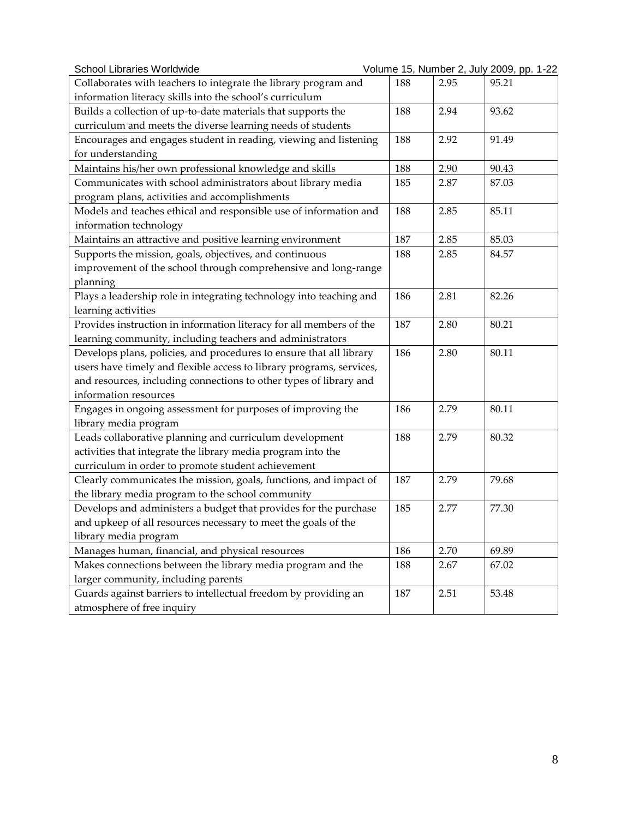| School Libraries Worldwide                                           |     |      | Volume 15, Number 2, July 2009, pp. 1-22 |
|----------------------------------------------------------------------|-----|------|------------------------------------------|
| Collaborates with teachers to integrate the library program and      | 188 | 2.95 | 95.21                                    |
| information literacy skills into the school's curriculum             |     |      |                                          |
| Builds a collection of up-to-date materials that supports the        | 188 | 2.94 | 93.62                                    |
| curriculum and meets the diverse learning needs of students          |     |      |                                          |
| Encourages and engages student in reading, viewing and listening     | 188 | 2.92 | 91.49                                    |
| for understanding                                                    |     |      |                                          |
| Maintains his/her own professional knowledge and skills              | 188 | 2.90 | 90.43                                    |
| Communicates with school administrators about library media          | 185 | 2.87 | 87.03                                    |
| program plans, activities and accomplishments                        |     |      |                                          |
| Models and teaches ethical and responsible use of information and    | 188 | 2.85 | 85.11                                    |
| information technology                                               |     |      |                                          |
| Maintains an attractive and positive learning environment            | 187 | 2.85 | 85.03                                    |
| Supports the mission, goals, objectives, and continuous              | 188 | 2.85 | 84.57                                    |
| improvement of the school through comprehensive and long-range       |     |      |                                          |
| planning                                                             |     |      |                                          |
| Plays a leadership role in integrating technology into teaching and  | 186 | 2.81 | 82.26                                    |
| learning activities                                                  |     |      |                                          |
| Provides instruction in information literacy for all members of the  | 187 | 2.80 | 80.21                                    |
| learning community, including teachers and administrators            |     |      |                                          |
| Develops plans, policies, and procedures to ensure that all library  | 186 | 2.80 | 80.11                                    |
| users have timely and flexible access to library programs, services, |     |      |                                          |
| and resources, including connections to other types of library and   |     |      |                                          |
| information resources                                                |     |      |                                          |
| Engages in ongoing assessment for purposes of improving the          | 186 | 2.79 | 80.11                                    |
| library media program                                                |     |      |                                          |
| Leads collaborative planning and curriculum development              | 188 | 2.79 | 80.32                                    |
| activities that integrate the library media program into the         |     |      |                                          |
| curriculum in order to promote student achievement                   |     |      |                                          |
| Clearly communicates the mission, goals, functions, and impact of    | 187 | 2.79 | 79.68                                    |
| the library media program to the school community                    |     |      |                                          |
| Develops and administers a budget that provides for the purchase     | 185 | 2.77 | 77.30                                    |
| and upkeep of all resources necessary to meet the goals of the       |     |      |                                          |
| library media program                                                |     |      |                                          |
| Manages human, financial, and physical resources                     | 186 | 2.70 | 69.89                                    |
| Makes connections between the library media program and the          | 188 | 2.67 | 67.02                                    |
| larger community, including parents                                  |     |      |                                          |
| Guards against barriers to intellectual freedom by providing an      | 187 | 2.51 | 53.48                                    |
| atmosphere of free inquiry                                           |     |      |                                          |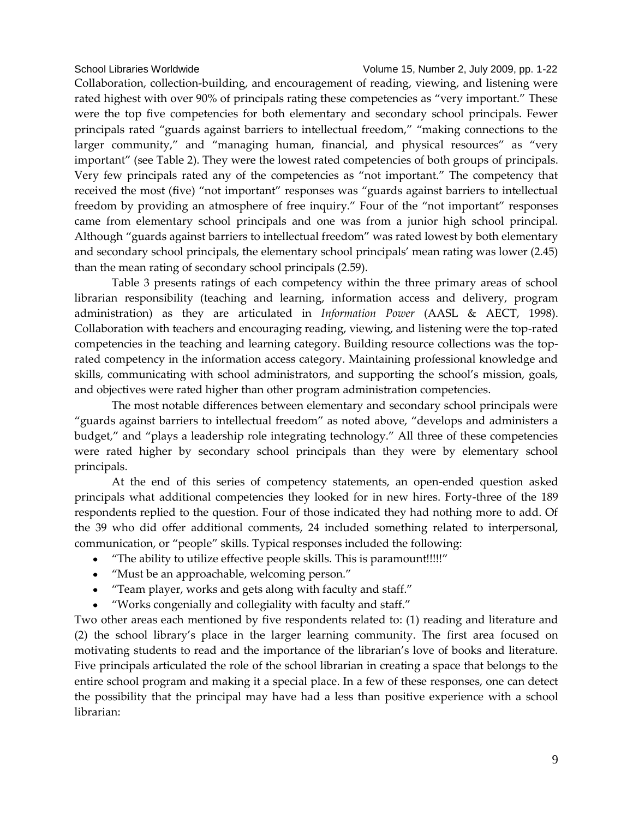Collaboration, collection-building, and encouragement of reading, viewing, and listening were rated highest with over 90% of principals rating these competencies as "very important." These were the top five competencies for both elementary and secondary school principals. Fewer principals rated "guards against barriers to intellectual freedom," "making connections to the larger community," and "managing human, financial, and physical resources" as "very important" (see Table 2). They were the lowest rated competencies of both groups of principals. Very few principals rated any of the competencies as "not important." The competency that received the most (five) "not important" responses was "guards against barriers to intellectual freedom by providing an atmosphere of free inquiry." Four of the "not important" responses came from elementary school principals and one was from a junior high school principal. Although "guards against barriers to intellectual freedom" was rated lowest by both elementary and secondary school principals, the elementary school principals' mean rating was lower (2.45) than the mean rating of secondary school principals (2.59).

Table 3 presents ratings of each competency within the three primary areas of school librarian responsibility (teaching and learning, information access and delivery, program administration) as they are articulated in *Information Power* (AASL & AECT, 1998). Collaboration with teachers and encouraging reading, viewing, and listening were the top-rated competencies in the teaching and learning category. Building resource collections was the toprated competency in the information access category. Maintaining professional knowledge and skills, communicating with school administrators, and supporting the school's mission, goals, and objectives were rated higher than other program administration competencies.

The most notable differences between elementary and secondary school principals were "guards against barriers to intellectual freedom" as noted above, "develops and administers a budget," and "plays a leadership role integrating technology." All three of these competencies were rated higher by secondary school principals than they were by elementary school principals.

At the end of this series of competency statements, an open-ended question asked principals what additional competencies they looked for in new hires. Forty-three of the 189 respondents replied to the question. Four of those indicated they had nothing more to add. Of the 39 who did offer additional comments, 24 included something related to interpersonal, communication, or "people" skills. Typical responses included the following:

- "The ability to utilize effective people skills. This is paramount!!!!!"
- "Must be an approachable, welcoming person."
- "Team player, works and gets along with faculty and staff."
- "Works congenially and collegiality with faculty and staff."

Two other areas each mentioned by five respondents related to: (1) reading and literature and (2) the school library's place in the larger learning community. The first area focused on motivating students to read and the importance of the librarian's love of books and literature. Five principals articulated the role of the school librarian in creating a space that belongs to the entire school program and making it a special place. In a few of these responses, one can detect the possibility that the principal may have had a less than positive experience with a school librarian: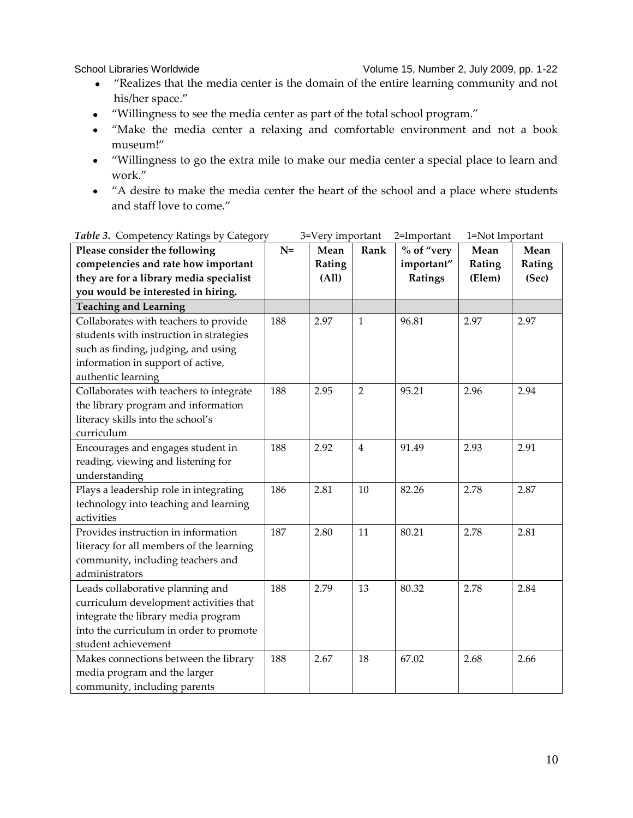- "Realizes that the media center is the domain of the entire learning community and not his/her space."
- "Willingness to see the media center as part of the total school program."
- "Make the media center a relaxing and comfortable environment and not a book museum!"
- "Willingness to go the extra mile to make our media center a special place to learn and work."
- "A desire to make the media center the heart of the school and a place where students and staff love to come."

| Please consider the following            | $N=$ | Mean   | Rank           | % of "very | Mean   | Mean   |
|------------------------------------------|------|--------|----------------|------------|--------|--------|
| competencies and rate how important      |      | Rating |                | important" | Rating | Rating |
| they are for a library media specialist  |      | (A11)  |                | Ratings    | (Elem) | (Sec)  |
| you would be interested in hiring.       |      |        |                |            |        |        |
| <b>Teaching and Learning</b>             |      |        |                |            |        |        |
| Collaborates with teachers to provide    | 188  | 2.97   | $\mathbf{1}$   | 96.81      | 2.97   | 2.97   |
| students with instruction in strategies  |      |        |                |            |        |        |
| such as finding, judging, and using      |      |        |                |            |        |        |
| information in support of active,        |      |        |                |            |        |        |
| authentic learning                       |      |        |                |            |        |        |
| Collaborates with teachers to integrate  | 188  | 2.95   | $\overline{2}$ | 95.21      | 2.96   | 2.94   |
| the library program and information      |      |        |                |            |        |        |
| literacy skills into the school's        |      |        |                |            |        |        |
| curriculum                               |      |        |                |            |        |        |
| Encourages and engages student in        | 188  | 2.92   | $\overline{4}$ | 91.49      | 2.93   | 2.91   |
| reading, viewing and listening for       |      |        |                |            |        |        |
| understanding                            |      |        |                |            |        |        |
| Plays a leadership role in integrating   | 186  | 2.81   | 10             | 82.26      | 2.78   | 2.87   |
| technology into teaching and learning    |      |        |                |            |        |        |
| activities                               |      |        |                |            |        |        |
| Provides instruction in information      | 187  | 2.80   | 11             | 80.21      | 2.78   | 2.81   |
| literacy for all members of the learning |      |        |                |            |        |        |
| community, including teachers and        |      |        |                |            |        |        |
| administrators                           |      |        |                |            |        |        |
| Leads collaborative planning and         | 188  | 2.79   | 13             | 80.32      | 2.78   | 2.84   |
| curriculum development activities that   |      |        |                |            |        |        |
| integrate the library media program      |      |        |                |            |        |        |
| into the curriculum in order to promote  |      |        |                |            |        |        |
| student achievement                      |      |        |                |            |        |        |
| Makes connections between the library    | 188  | 2.67   | 18             | 67.02      | 2.68   | 2.66   |
| media program and the larger             |      |        |                |            |        |        |
| community, including parents             |      |        |                |            |        |        |

| Table 3. Competency Ratings by Category |  |  | $3=V$ ery important 2=Important 1=Not Important |  |
|-----------------------------------------|--|--|-------------------------------------------------|--|
|                                         |  |  |                                                 |  |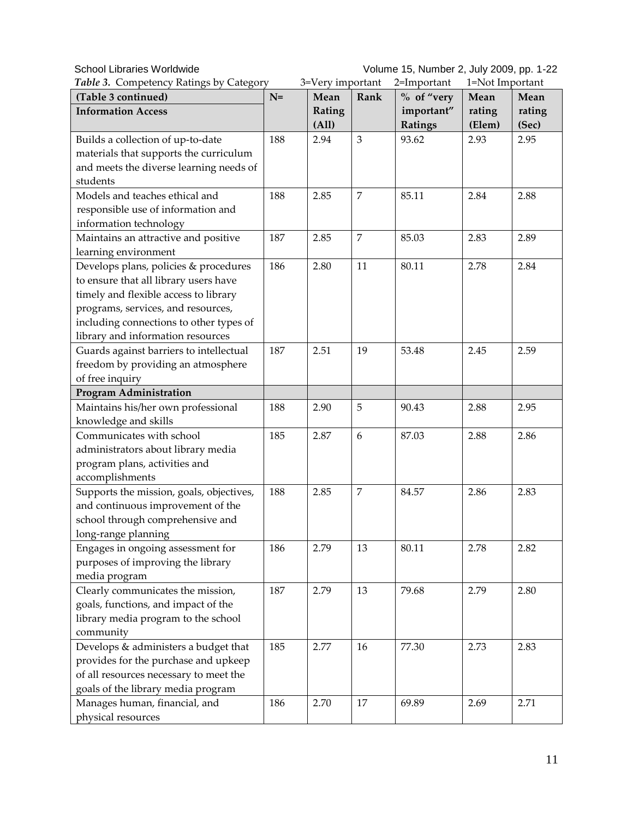School Libraries Worldwide Volume 15, Number 2, July 2009, pp. 1-22

| <b>Table 3.</b> Competency Ratings by Category |      | 3=Very important |                | 2=Important | 1=Not Important |        |
|------------------------------------------------|------|------------------|----------------|-------------|-----------------|--------|
| (Table 3 continued)                            | $N=$ | Mean             | Rank           | % of "very  | Mean            | Mean   |
| <b>Information Access</b>                      |      | Rating           |                | important"  | rating          | rating |
|                                                |      | (A11)            |                | Ratings     | (Elem)          | (Sec)  |
| Builds a collection of up-to-date              | 188  | 2.94             | 3              | 93.62       | 2.93            | 2.95   |
| materials that supports the curriculum         |      |                  |                |             |                 |        |
| and meets the diverse learning needs of        |      |                  |                |             |                 |        |
| students                                       |      |                  |                |             |                 |        |
| Models and teaches ethical and                 | 188  | 2.85             | $\overline{7}$ | 85.11       | 2.84            | 2.88   |
| responsible use of information and             |      |                  |                |             |                 |        |
| information technology                         |      |                  |                |             |                 |        |
| Maintains an attractive and positive           | 187  | 2.85             | $\overline{7}$ | 85.03       | 2.83            | 2.89   |
| learning environment                           |      |                  |                |             |                 |        |
| Develops plans, policies & procedures          | 186  | 2.80             | 11             | 80.11       | 2.78            | 2.84   |
| to ensure that all library users have          |      |                  |                |             |                 |        |
| timely and flexible access to library          |      |                  |                |             |                 |        |
| programs, services, and resources,             |      |                  |                |             |                 |        |
| including connections to other types of        |      |                  |                |             |                 |        |
| library and information resources              |      |                  |                |             |                 |        |
| Guards against barriers to intellectual        | 187  | 2.51             | 19             | 53.48       | 2.45            | 2.59   |
| freedom by providing an atmosphere             |      |                  |                |             |                 |        |
| of free inquiry                                |      |                  |                |             |                 |        |
| <b>Program Administration</b>                  |      |                  |                |             |                 |        |
| Maintains his/her own professional             | 188  | 2.90             | 5              | 90.43       | 2.88            | 2.95   |
| knowledge and skills                           |      |                  |                |             |                 |        |
| Communicates with school                       | 185  | 2.87             | 6              | 87.03       | 2.88            | 2.86   |
| administrators about library media             |      |                  |                |             |                 |        |
| program plans, activities and                  |      |                  |                |             |                 |        |
| accomplishments                                |      |                  |                |             |                 |        |
| Supports the mission, goals, objectives,       | 188  | 2.85             | $\overline{7}$ | 84.57       | 2.86            | 2.83   |
| and continuous improvement of the              |      |                  |                |             |                 |        |
| school through comprehensive and               |      |                  |                |             |                 |        |
| long-range planning                            |      |                  |                |             |                 |        |
| Engages in ongoing assessment for              | 186  | 2.79             | 13             | 80.11       | 2.78            | 2.82   |
| purposes of improving the library              |      |                  |                |             |                 |        |
| media program                                  |      |                  |                |             |                 |        |
| Clearly communicates the mission,              | 187  | 2.79             | 13             | 79.68       | 2.79            | 2.80   |
| goals, functions, and impact of the            |      |                  |                |             |                 |        |
| library media program to the school            |      |                  |                |             |                 |        |
| community                                      |      |                  |                |             |                 |        |
| Develops & administers a budget that           | 185  | 2.77             | 16             | 77.30       | 2.73            | 2.83   |
| provides for the purchase and upkeep           |      |                  |                |             |                 |        |
| of all resources necessary to meet the         |      |                  |                |             |                 |        |
| goals of the library media program             |      |                  |                |             |                 |        |
| Manages human, financial, and                  | 186  | 2.70             | 17             | 69.89       | 2.69            | 2.71   |
| physical resources                             |      |                  |                |             |                 |        |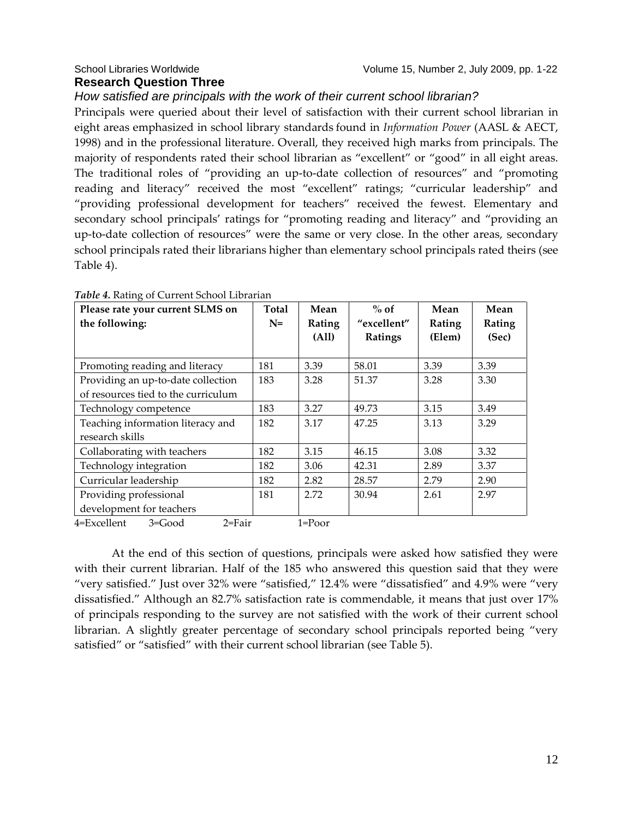# **Research Question Three**

### *How satisfied are principals with the work of their current school librarian?*

Principals were queried about their level of satisfaction with their current school librarian in eight areas emphasized in school library standards found in *Information Power* (AASL & AECT, 1998) and in the professional literature. Overall, they received high marks from principals. The majority of respondents rated their school librarian as "excellent" or "good" in all eight areas. The traditional roles of "providing an up-to-date collection of resources" and "promoting reading and literacy" received the most "excellent" ratings; "curricular leadership" and "providing professional development for teachers" received the fewest. Elementary and secondary school principals' ratings for "promoting reading and literacy" and "providing an up-to-date collection of resources" were the same or very close. In the other areas, secondary school principals rated their librarians higher than elementary school principals rated theirs (see Table 4).

| Please rate your current SLMS on<br>the following:                            | Total<br>$N=$ | Mean<br>Rating<br>(A11) | $%$ of<br>"excellent"<br>Ratings | Mean<br>Rating<br>(Elem) | Mean<br>Rating<br>(Sec) |
|-------------------------------------------------------------------------------|---------------|-------------------------|----------------------------------|--------------------------|-------------------------|
| Promoting reading and literacy                                                | 181           | 3.39                    | 58.01                            | 3.39                     | 3.39                    |
| Providing an up-to-date collection<br>of resources tied to the curriculum     | 183           | 3.28                    | 51.37                            | 3.28                     | 3.30                    |
| Technology competence                                                         | 183           | 3.27                    | 49.73                            | 3.15                     | 3.49                    |
| Teaching information literacy and<br>research skills                          | 182           | 3.17                    | 47.25                            | 3.13                     | 3.29                    |
| Collaborating with teachers                                                   | 182           | 3.15                    | 46.15                            | 3.08                     | 3.32                    |
| Technology integration                                                        | 182           | 3.06                    | 42.31                            | 2.89                     | 3.37                    |
| Curricular leadership                                                         | 182           | 2.82                    | 28.57                            | 2.79                     | 2.90                    |
| Providing professional<br>development for teachers<br>$\sim$ $\blacksquare$ . | 181           | 2.72                    | 30.94                            | 2.61                     | 2.97                    |

#### *Table 4.* Rating of Current School Librarian

4=Excellent 3=Good 2=Fair 1=Poor

At the end of this section of questions, principals were asked how satisfied they were with their current librarian. Half of the 185 who answered this question said that they were "very satisfied." Just over 32% were "satisfied," 12.4% were "dissatisfied" and 4.9% were "very dissatisfied." Although an 82.7% satisfaction rate is commendable, it means that just over 17% of principals responding to the survey are not satisfied with the work of their current school librarian. A slightly greater percentage of secondary school principals reported being "very satisfied" or "satisfied" with their current school librarian (see Table 5).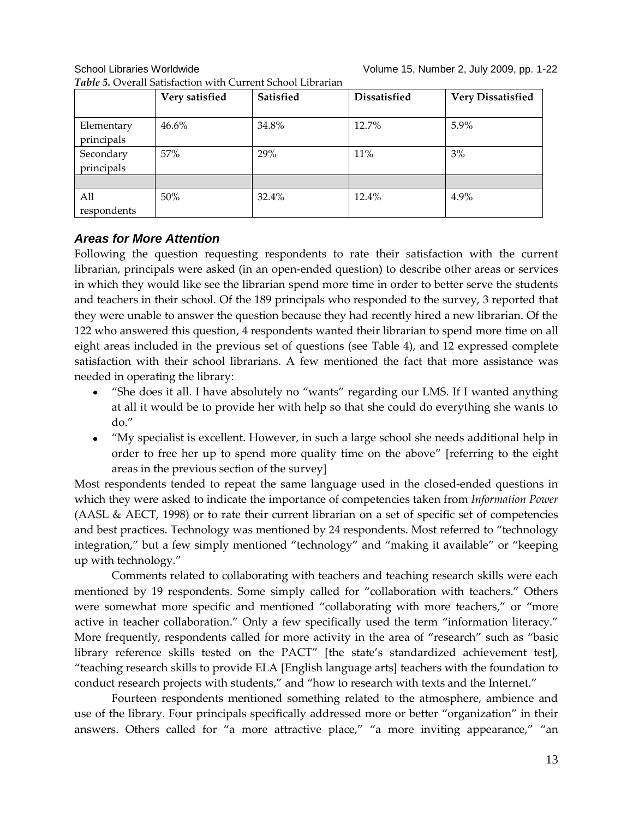*Table 5.* Overall Satisfaction with Current School Librarian

|                          | Very satisfied | <b>Satisfied</b> | <b>Dissatisfied</b> | <b>Very Dissatisfied</b> |
|--------------------------|----------------|------------------|---------------------|--------------------------|
| Elementary<br>principals | $46.6\%$       | 34.8%            | 12.7%               | 5.9%                     |
| Secondary<br>principals  | 57%            | 29%              | 11%                 | 3%                       |
|                          |                |                  |                     |                          |
| All<br>respondents       | $50\%$         | 32.4%            | 12.4%               | 4.9%                     |

### *Areas for More Attention*

Following the question requesting respondents to rate their satisfaction with the current librarian, principals were asked (in an open-ended question) to describe other areas or services in which they would like see the librarian spend more time in order to better serve the students and teachers in their school. Of the 189 principals who responded to the survey, 3 reported that they were unable to answer the question because they had recently hired a new librarian. Of the 122 who answered this question, 4 respondents wanted their librarian to spend more time on all eight areas included in the previous set of questions (see Table 4), and 12 expressed complete satisfaction with their school librarians. A few mentioned the fact that more assistance was needed in operating the library:

- "She does it all. I have absolutely no "wants" regarding our LMS. If I wanted anything at all it would be to provide her with help so that she could do everything she wants to do."
- "My specialist is excellent. However, in such a large school she needs additional help in order to free her up to spend more quality time on the above" [referring to the eight areas in the previous section of the survey]

Most respondents tended to repeat the same language used in the closed-ended questions in which they were asked to indicate the importance of competencies taken from *Information Power* (AASL & AECT, 1998) or to rate their current librarian on a set of specific set of competencies and best practices. Technology was mentioned by 24 respondents. Most referred to "technology integration," but a few simply mentioned "technology" and "making it available" or "keeping up with technology."

Comments related to collaborating with teachers and teaching research skills were each mentioned by 19 respondents. Some simply called for "collaboration with teachers." Others were somewhat more specific and mentioned "collaborating with more teachers," or "more active in teacher collaboration." Only a few specifically used the term "information literacy." More frequently, respondents called for more activity in the area of "research" such as "basic library reference skills tested on the PACT" [the state's standardized achievement test], "teaching research skills to provide ELA [English language arts] teachers with the foundation to conduct research projects with students," and "how to research with texts and the Internet."

Fourteen respondents mentioned something related to the atmosphere, ambience and use of the library. Four principals specifically addressed more or better "organization" in their answers. Others called for "a more attractive place," "a more inviting appearance," "an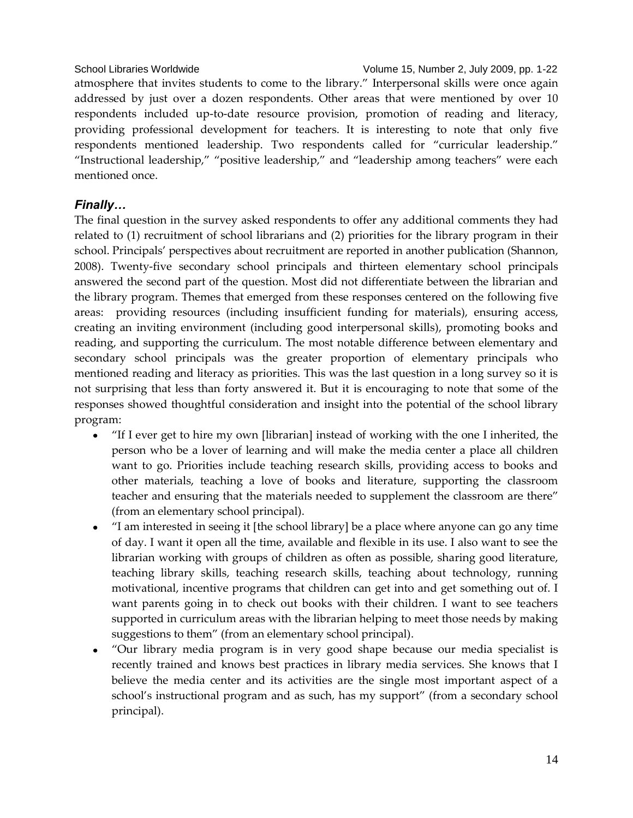atmosphere that invites students to come to the library." Interpersonal skills were once again addressed by just over a dozen respondents. Other areas that were mentioned by over 10 respondents included up-to-date resource provision, promotion of reading and literacy, providing professional development for teachers. It is interesting to note that only five respondents mentioned leadership. Two respondents called for "curricular leadership." "Instructional leadership," "positive leadership," and "leadership among teachers" were each mentioned once.

### *Finally…*

The final question in the survey asked respondents to offer any additional comments they had related to (1) recruitment of school librarians and (2) priorities for the library program in their school. Principals' perspectives about recruitment are reported in another publication (Shannon, 2008). Twenty-five secondary school principals and thirteen elementary school principals answered the second part of the question. Most did not differentiate between the librarian and the library program. Themes that emerged from these responses centered on the following five areas: providing resources (including insufficient funding for materials), ensuring access, creating an inviting environment (including good interpersonal skills), promoting books and reading, and supporting the curriculum. The most notable difference between elementary and secondary school principals was the greater proportion of elementary principals who mentioned reading and literacy as priorities. This was the last question in a long survey so it is not surprising that less than forty answered it. But it is encouraging to note that some of the responses showed thoughtful consideration and insight into the potential of the school library program:

- "If I ever get to hire my own [librarian] instead of working with the one I inherited, the person who be a lover of learning and will make the media center a place all children want to go. Priorities include teaching research skills, providing access to books and other materials, teaching a love of books and literature, supporting the classroom teacher and ensuring that the materials needed to supplement the classroom are there" (from an elementary school principal).
- "I am interested in seeing it [the school library] be a place where anyone can go any time of day. I want it open all the time, available and flexible in its use. I also want to see the librarian working with groups of children as often as possible, sharing good literature, teaching library skills, teaching research skills, teaching about technology, running motivational, incentive programs that children can get into and get something out of. I want parents going in to check out books with their children. I want to see teachers supported in curriculum areas with the librarian helping to meet those needs by making suggestions to them" (from an elementary school principal).
- "Our library media program is in very good shape because our media specialist is recently trained and knows best practices in library media services. She knows that I believe the media center and its activities are the single most important aspect of a school's instructional program and as such, has my support" (from a secondary school principal).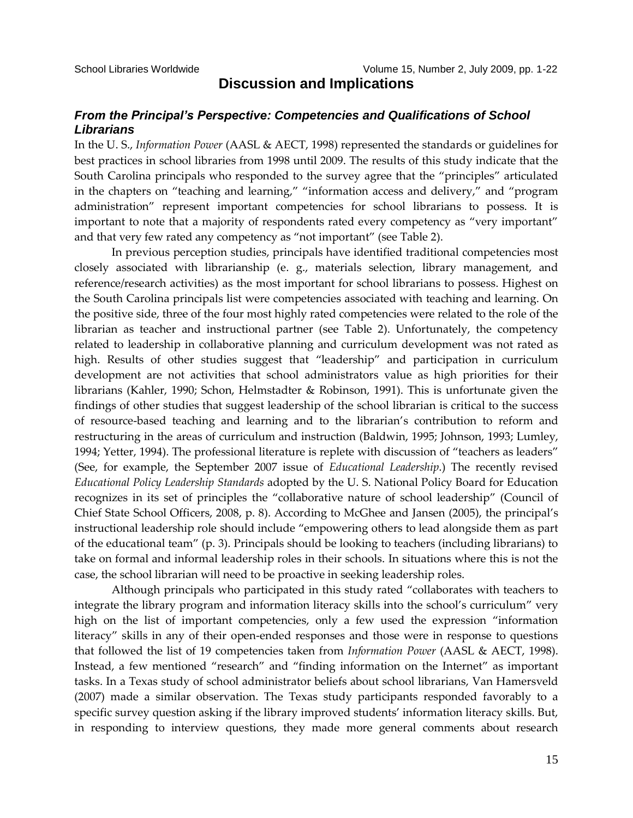**Discussion and Implications**

#### *From the Principal's Perspective: Competencies and Qualifications of School Librarians*

In the U. S., *Information Power* (AASL & AECT, 1998) represented the standards or guidelines for best practices in school libraries from 1998 until 2009. The results of this study indicate that the South Carolina principals who responded to the survey agree that the "principles" articulated in the chapters on "teaching and learning," "information access and delivery," and "program administration" represent important competencies for school librarians to possess. It is important to note that a majority of respondents rated every competency as "very important" and that very few rated any competency as "not important" (see Table 2).

In previous perception studies, principals have identified traditional competencies most closely associated with librarianship (e. g., materials selection, library management, and reference/research activities) as the most important for school librarians to possess. Highest on the South Carolina principals list were competencies associated with teaching and learning. On the positive side, three of the four most highly rated competencies were related to the role of the librarian as teacher and instructional partner (see Table 2). Unfortunately, the competency related to leadership in collaborative planning and curriculum development was not rated as high. Results of other studies suggest that "leadership" and participation in curriculum development are not activities that school administrators value as high priorities for their librarians (Kahler, 1990; Schon, Helmstadter & Robinson, 1991). This is unfortunate given the findings of other studies that suggest leadership of the school librarian is critical to the success of resource-based teaching and learning and to the librarian's contribution to reform and restructuring in the areas of curriculum and instruction (Baldwin, 1995; Johnson, 1993; Lumley, 1994; Yetter, 1994). The professional literature is replete with discussion of "teachers as leaders" (See, for example, the September 2007 issue of *Educational Leadership*.) The recently revised *Educational Policy Leadership Standards* adopted by the U. S. National Policy Board for Education recognizes in its set of principles the "collaborative nature of school leadership" (Council of Chief State School Officers, 2008, p. 8). According to McGhee and Jansen (2005), the principal's instructional leadership role should include "empowering others to lead alongside them as part of the educational team" (p. 3). Principals should be looking to teachers (including librarians) to take on formal and informal leadership roles in their schools. In situations where this is not the case, the school librarian will need to be proactive in seeking leadership roles.

Although principals who participated in this study rated "collaborates with teachers to integrate the library program and information literacy skills into the school's curriculum" very high on the list of important competencies, only a few used the expression "information literacy" skills in any of their open-ended responses and those were in response to questions that followed the list of 19 competencies taken from *Information Power* (AASL & AECT, 1998). Instead, a few mentioned "research" and "finding information on the Internet" as important tasks. In a Texas study of school administrator beliefs about school librarians, Van Hamersveld (2007) made a similar observation. The Texas study participants responded favorably to a specific survey question asking if the library improved students' information literacy skills. But, in responding to interview questions, they made more general comments about research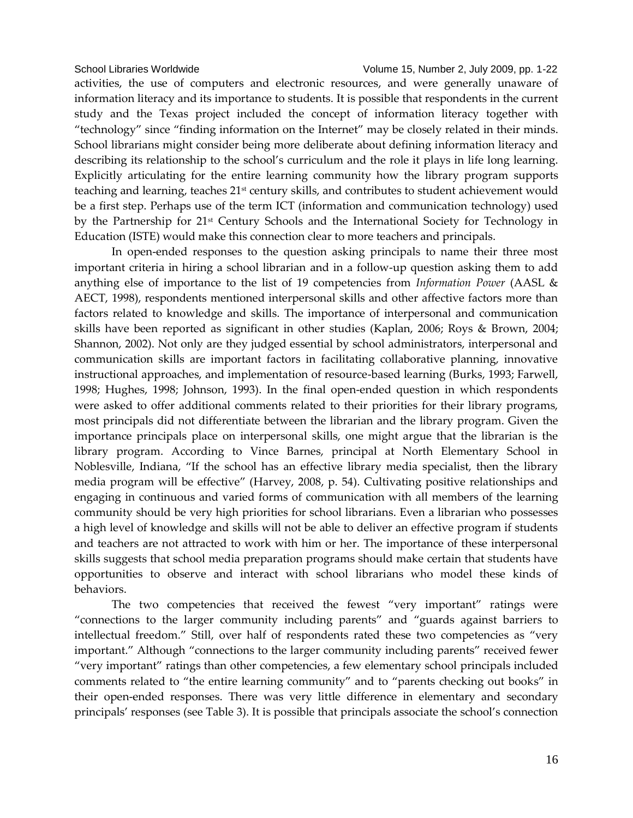activities, the use of computers and electronic resources, and were generally unaware of information literacy and its importance to students. It is possible that respondents in the current study and the Texas project included the concept of information literacy together with "technology" since "finding information on the Internet" may be closely related in their minds. School librarians might consider being more deliberate about defining information literacy and describing its relationship to the school's curriculum and the role it plays in life long learning. Explicitly articulating for the entire learning community how the library program supports teaching and learning, teaches 21st century skills, and contributes to student achievement would be a first step. Perhaps use of the term ICT (information and communication technology) used by the Partnership for 21st Century Schools and the International Society for Technology in Education (ISTE) would make this connection clear to more teachers and principals.

In open-ended responses to the question asking principals to name their three most important criteria in hiring a school librarian and in a follow-up question asking them to add anything else of importance to the list of 19 competencies from *Information Power* (AASL & AECT, 1998), respondents mentioned interpersonal skills and other affective factors more than factors related to knowledge and skills. The importance of interpersonal and communication skills have been reported as significant in other studies (Kaplan, 2006; Roys & Brown, 2004; Shannon, 2002). Not only are they judged essential by school administrators, interpersonal and communication skills are important factors in facilitating collaborative planning, innovative instructional approaches, and implementation of resource-based learning (Burks, 1993; Farwell, 1998; Hughes, 1998; Johnson, 1993). In the final open-ended question in which respondents were asked to offer additional comments related to their priorities for their library programs, most principals did not differentiate between the librarian and the library program. Given the importance principals place on interpersonal skills, one might argue that the librarian is the library program. According to Vince Barnes, principal at North Elementary School in Noblesville, Indiana, "If the school has an effective library media specialist, then the library media program will be effective" (Harvey, 2008, p. 54). Cultivating positive relationships and engaging in continuous and varied forms of communication with all members of the learning community should be very high priorities for school librarians. Even a librarian who possesses a high level of knowledge and skills will not be able to deliver an effective program if students and teachers are not attracted to work with him or her. The importance of these interpersonal skills suggests that school media preparation programs should make certain that students have opportunities to observe and interact with school librarians who model these kinds of behaviors.

The two competencies that received the fewest "very important" ratings were "connections to the larger community including parents" and "guards against barriers to intellectual freedom." Still, over half of respondents rated these two competencies as "very important." Although "connections to the larger community including parents" received fewer "very important" ratings than other competencies, a few elementary school principals included comments related to "the entire learning community" and to "parents checking out books" in their open-ended responses. There was very little difference in elementary and secondary principals' responses (see Table 3). It is possible that principals associate the school's connection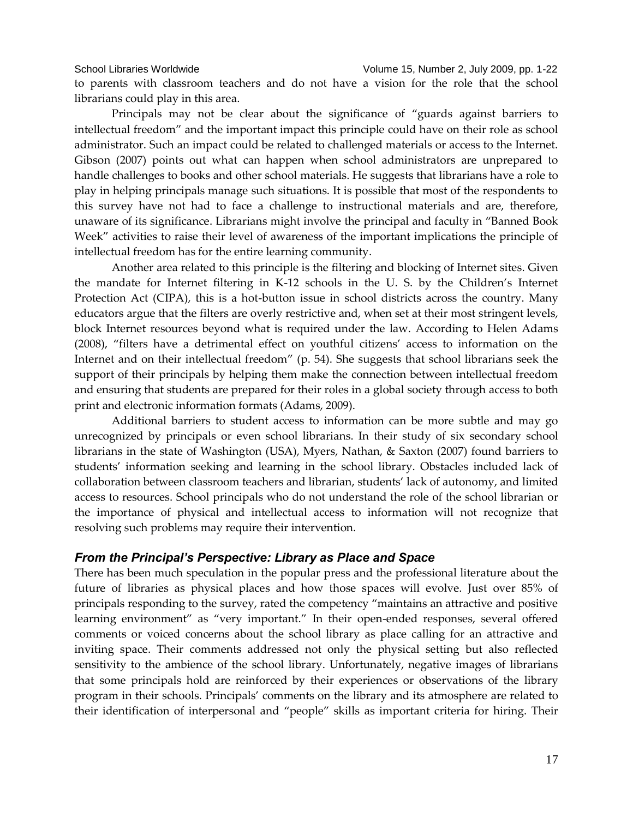to parents with classroom teachers and do not have a vision for the role that the school librarians could play in this area.

Principals may not be clear about the significance of "guards against barriers to intellectual freedom" and the important impact this principle could have on their role as school administrator. Such an impact could be related to challenged materials or access to the Internet. Gibson (2007) points out what can happen when school administrators are unprepared to handle challenges to books and other school materials. He suggests that librarians have a role to play in helping principals manage such situations. It is possible that most of the respondents to this survey have not had to face a challenge to instructional materials and are, therefore, unaware of its significance. Librarians might involve the principal and faculty in "Banned Book Week" activities to raise their level of awareness of the important implications the principle of intellectual freedom has for the entire learning community.

Another area related to this principle is the filtering and blocking of Internet sites. Given the mandate for Internet filtering in K-12 schools in the U. S. by the Children's Internet Protection Act (CIPA), this is a hot-button issue in school districts across the country. Many educators argue that the filters are overly restrictive and, when set at their most stringent levels, block Internet resources beyond what is required under the law. According to Helen Adams (2008), "filters have a detrimental effect on youthful citizens' access to information on the Internet and on their intellectual freedom" (p. 54). She suggests that school librarians seek the support of their principals by helping them make the connection between intellectual freedom and ensuring that students are prepared for their roles in a global society through access to both print and electronic information formats (Adams, 2009).

Additional barriers to student access to information can be more subtle and may go unrecognized by principals or even school librarians. In their study of six secondary school librarians in the state of Washington (USA), Myers, Nathan, & Saxton (2007) found barriers to students' information seeking and learning in the school library. Obstacles included lack of collaboration between classroom teachers and librarian, students' lack of autonomy, and limited access to resources. School principals who do not understand the role of the school librarian or the importance of physical and intellectual access to information will not recognize that resolving such problems may require their intervention.

#### *From the Principal's Perspective: Library as Place and Space*

There has been much speculation in the popular press and the professional literature about the future of libraries as physical places and how those spaces will evolve. Just over 85% of principals responding to the survey, rated the competency "maintains an attractive and positive learning environment" as "very important." In their open-ended responses, several offered comments or voiced concerns about the school library as place calling for an attractive and inviting space. Their comments addressed not only the physical setting but also reflected sensitivity to the ambience of the school library. Unfortunately, negative images of librarians that some principals hold are reinforced by their experiences or observations of the library program in their schools. Principals' comments on the library and its atmosphere are related to their identification of interpersonal and "people" skills as important criteria for hiring. Their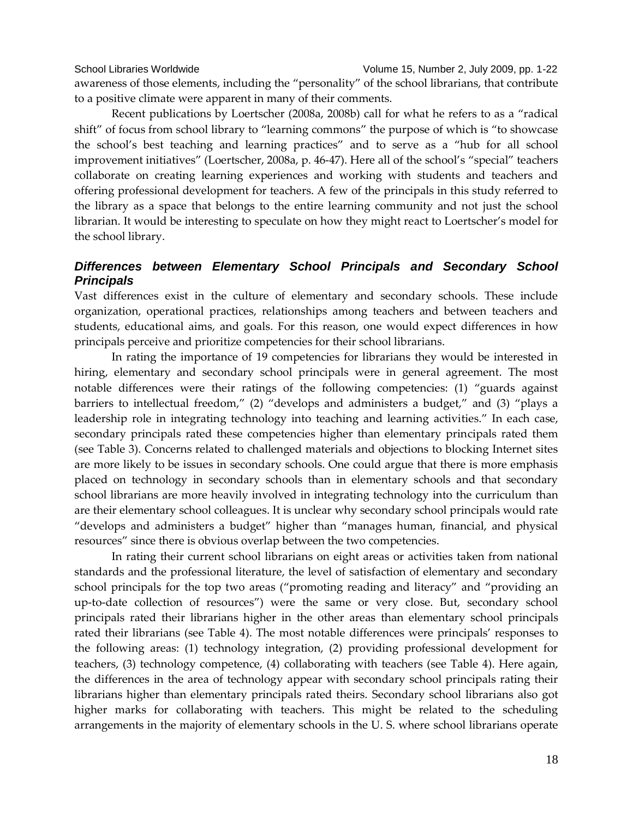awareness of those elements, including the "personality" of the school librarians, that contribute to a positive climate were apparent in many of their comments.

Recent publications by Loertscher (2008a, 2008b) call for what he refers to as a "radical shift" of focus from school library to "learning commons" the purpose of which is "to showcase the school's best teaching and learning practices" and to serve as a "hub for all school improvement initiatives" (Loertscher, 2008a, p. 46-47). Here all of the school's "special" teachers collaborate on creating learning experiences and working with students and teachers and offering professional development for teachers. A few of the principals in this study referred to the library as a space that belongs to the entire learning community and not just the school librarian. It would be interesting to speculate on how they might react to Loertscher's model for the school library.

### *Differences between Elementary School Principals and Secondary School Principals*

Vast differences exist in the culture of elementary and secondary schools. These include organization, operational practices, relationships among teachers and between teachers and students, educational aims, and goals. For this reason, one would expect differences in how principals perceive and prioritize competencies for their school librarians.

In rating the importance of 19 competencies for librarians they would be interested in hiring, elementary and secondary school principals were in general agreement. The most notable differences were their ratings of the following competencies: (1) "guards against barriers to intellectual freedom," (2) "develops and administers a budget," and (3) "plays a leadership role in integrating technology into teaching and learning activities." In each case, secondary principals rated these competencies higher than elementary principals rated them (see Table 3). Concerns related to challenged materials and objections to blocking Internet sites are more likely to be issues in secondary schools. One could argue that there is more emphasis placed on technology in secondary schools than in elementary schools and that secondary school librarians are more heavily involved in integrating technology into the curriculum than are their elementary school colleagues. It is unclear why secondary school principals would rate "develops and administers a budget" higher than "manages human, financial, and physical resources" since there is obvious overlap between the two competencies.

In rating their current school librarians on eight areas or activities taken from national standards and the professional literature, the level of satisfaction of elementary and secondary school principals for the top two areas ("promoting reading and literacy" and "providing an up-to-date collection of resources") were the same or very close. But, secondary school principals rated their librarians higher in the other areas than elementary school principals rated their librarians (see Table 4). The most notable differences were principals' responses to the following areas: (1) technology integration, (2) providing professional development for teachers, (3) technology competence, (4) collaborating with teachers (see Table 4). Here again, the differences in the area of technology appear with secondary school principals rating their librarians higher than elementary principals rated theirs. Secondary school librarians also got higher marks for collaborating with teachers. This might be related to the scheduling arrangements in the majority of elementary schools in the U. S. where school librarians operate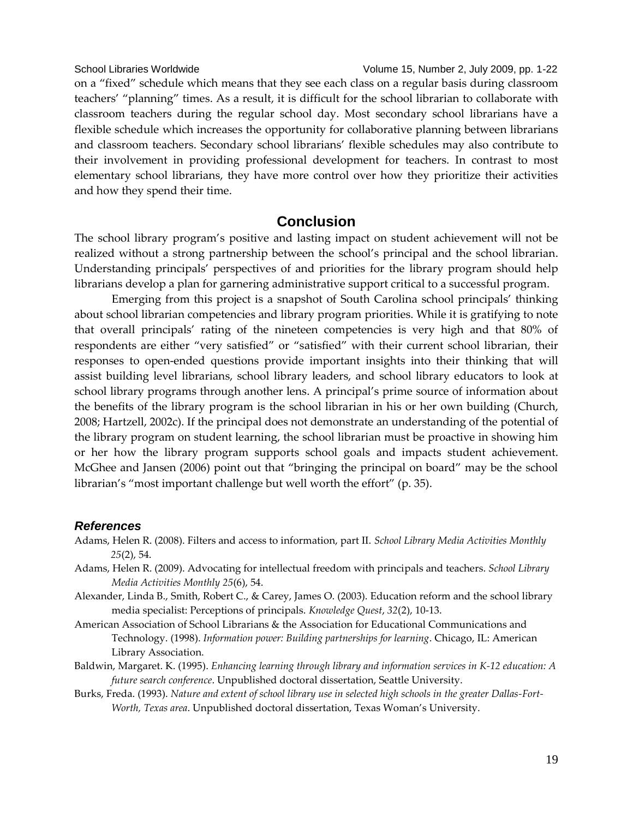on a "fixed" schedule which means that they see each class on a regular basis during classroom teachers' "planning" times. As a result, it is difficult for the school librarian to collaborate with classroom teachers during the regular school day. Most secondary school librarians have a flexible schedule which increases the opportunity for collaborative planning between librarians and classroom teachers. Secondary school librarians' flexible schedules may also contribute to their involvement in providing professional development for teachers. In contrast to most elementary school librarians, they have more control over how they prioritize their activities and how they spend their time.

#### **Conclusion**

The school library program's positive and lasting impact on student achievement will not be realized without a strong partnership between the school's principal and the school librarian. Understanding principals' perspectives of and priorities for the library program should help librarians develop a plan for garnering administrative support critical to a successful program.

Emerging from this project is a snapshot of South Carolina school principals' thinking about school librarian competencies and library program priorities. While it is gratifying to note that overall principals' rating of the nineteen competencies is very high and that 80% of respondents are either "very satisfied" or "satisfied" with their current school librarian, their responses to open-ended questions provide important insights into their thinking that will assist building level librarians, school library leaders, and school library educators to look at school library programs through another lens. A principal's prime source of information about the benefits of the library program is the school librarian in his or her own building (Church, 2008; Hartzell, 2002c). If the principal does not demonstrate an understanding of the potential of the library program on student learning, the school librarian must be proactive in showing him or her how the library program supports school goals and impacts student achievement. McGhee and Jansen (2006) point out that "bringing the principal on board" may be the school librarian's "most important challenge but well worth the effort" (p. 35).

#### *References*

- Adams, Helen R. (2008). Filters and access to information, part II. *School Library Media Activities Monthly 25*(2), 54.
- Adams, Helen R. (2009). Advocating for intellectual freedom with principals and teachers. *School Library Media Activities Monthly 25*(6), 54.
- Alexander, Linda B., Smith, Robert C., & Carey, James O. (2003). Education reform and the school library media specialist: Perceptions of principals. *Knowledge Quest*, *32*(2), 10-13.
- American Association of School Librarians & the Association for Educational Communications and Technology. (1998). *Information power: Building partnerships for learning*. Chicago, IL: American Library Association.
- Baldwin, Margaret. K. (1995). *Enhancing learning through library and information services in K-12 education: A future search conference*. Unpublished doctoral dissertation, Seattle University.
- Burks, Freda. (1993). *Nature and extent of school library use in selected high schools in the greater Dallas-Fort-Worth, Texas area*. Unpublished doctoral dissertation, Texas Woman's University.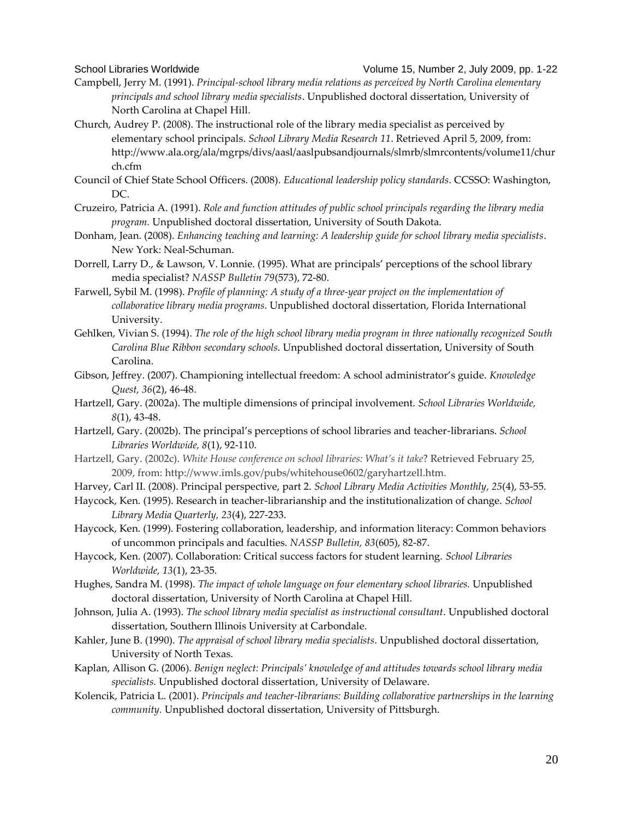School Libraries Worldwide Volume 15, Number 2, July 2009, pp. 1-22

- Campbell, Jerry M. (1991). *Principal-school library media relations as perceived by North Carolina elementary principals and school library media specialists*. Unpublished doctoral dissertation, University of North Carolina at Chapel Hill.
- Church, Audrey P. (2008). The instructional role of the library media specialist as perceived by elementary school principals. *School Library Media Research 11*. Retrieved April 5, 2009, from: http://www.ala.org/ala/mgrps/divs/aasl/aaslpubsandjournals/slmrb/slmrcontents/volume11/chur ch.cfm
- Council of Chief State School Officers. (2008). *Educational leadership policy standards*. CCSSO: Washington, DC.
- Cruzeiro, Patricia A. (1991). *Role and function attitudes of public school principals regarding the library media program.* Unpublished doctoral dissertation, University of South Dakota.
- Donham, Jean. (2008). *Enhancing teaching and learning: A leadership guide for school library media specialists*. New York: Neal-Schuman.
- Dorrell, Larry D., & Lawson, V. Lonnie. (1995). What are principals' perceptions of the school library media specialist? *NASSP Bulletin 79*(573), 72-80.
- Farwell, Sybil M. (1998). *Profile of planning: A study of a three-year project on the implementation of collaborative library media programs*. Unpublished doctoral dissertation, Florida International University.
- Gehlken, Vivian S. (1994). *The role of the high school library media program in three nationally recognized South Carolina Blue Ribbon secondary schools*. Unpublished doctoral dissertation, University of South Carolina.
- Gibson, Jeffrey. (2007). Championing intellectual freedom: A school administrator's guide. *Knowledge Quest, 36*(2), 46-48.
- Hartzell, Gary. (2002a). The multiple dimensions of principal involvement. *School Libraries Worldwide, 8*(1), 43-48.
- Hartzell, Gary. (2002b). The principal's perceptions of school libraries and teacher-librarians. *School Libraries Worldwide, 8*(1), 92-110.
- Hartzell, Gary. (2002c). *White House conference on school libraries: What's it take*? Retrieved February 25, 2009, from: http://www.imls.gov/pubs/whitehouse0602/garyhartzell.htm.
- Harvey, Carl II. (2008). Principal perspective, part 2. *School Library Media Activities Monthly, 25*(4), 53-55.
- Haycock, Ken. (1995). Research in teacher-librarianship and the institutionalization of change. *School Library Media Quarterly, 23*(4), 227-233.
- Haycock, Ken. (1999). Fostering collaboration, leadership, and information literacy: Common behaviors of uncommon principals and faculties. *NASSP Bulletin, 83*(605), 82-87.
- Haycock, Ken. (2007). Collaboration: Critical success factors for student learning. *School Libraries Worldwide, 13*(1), 23-35.
- Hughes, Sandra M. (1998). *The impact of whole language on four elementary school libraries.* Unpublished doctoral dissertation, University of North Carolina at Chapel Hill.
- Johnson, Julia A. (1993). *The school library media specialist as instructional consultant*. Unpublished doctoral dissertation, Southern Illinois University at Carbondale.
- Kahler, June B. (1990). *The appraisal of school library media specialists*. Unpublished doctoral dissertation, University of North Texas.
- Kaplan, Allison G. (2006). *Benign neglect: Principals' knowledge of and attitudes towards school library media specialists.* Unpublished doctoral dissertation, University of Delaware.
- Kolencik, Patricia L. (2001). *Principals and teacher-librarians: Building collaborative partnerships in the learning community.* Unpublished doctoral dissertation, University of Pittsburgh.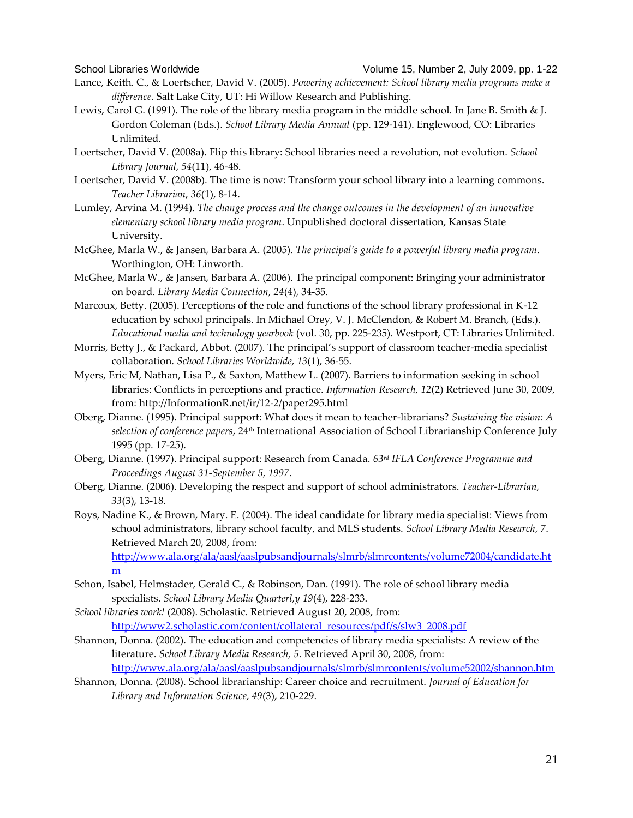- Lance, Keith. C., & Loertscher, David V. (2005). *Powering achievement: School library media programs make a difference.* Salt Lake City, UT: Hi Willow Research and Publishing.
- Lewis, Carol G. (1991). The role of the library media program in the middle school. In Jane B. Smith & J. Gordon Coleman (Eds.). *School Library Media Annual* (pp. 129-141). Englewood, CO: Libraries Unlimited.
- Loertscher, David V. (2008a). Flip this library: School libraries need a revolution, not evolution. *School Library Journal*, *54*(11), 46-48.
- Loertscher, David V. (2008b). The time is now: Transform your school library into a learning commons. *Teacher Librarian, 36*(1), 8-14.
- Lumley, Arvina M. (1994). *The change process and the change outcomes in the development of an innovative elementary school library media program*. Unpublished doctoral dissertation, Kansas State University.
- McGhee, Marla W., & Jansen, Barbara A. (2005). *The principal's guide to a powerful library media program*. Worthington, OH: Linworth.
- McGhee, Marla W., & Jansen, Barbara A. (2006). The principal component: Bringing your administrator on board. *Library Media Connection, 24*(4), 34-35.
- Marcoux, Betty. (2005). Perceptions of the role and functions of the school library professional in K-12 education by school principals. In Michael Orey, V. J. McClendon, & Robert M. Branch, (Eds.). *Educational media and technology yearbook* (vol. 30, pp. 225-235). Westport, CT: Libraries Unlimited.
- Morris, Betty J., & Packard, Abbot. (2007). The principal's support of classroom teacher-media specialist collaboration. *School Libraries Worldwide, 13*(1), 36-55.
- Myers, Eric M, Nathan, Lisa P., & Saxton, Matthew L. (2007). Barriers to information seeking in school libraries: Conflicts in perceptions and practice. *Information Research, 12*(2) Retrieved June 30, 2009, from: http://InformationR.net/ir/12-2/paper295.html
- Oberg, Dianne. (1995). Principal support: What does it mean to teacher-librarians? *Sustaining the vision: A selection of conference papers*, 24th International Association of School Librarianship Conference July 1995 (pp. 17-25).
- Oberg, Dianne. (1997). Principal support: Research from Canada. *63rd IFLA Conference Programme and Proceedings August 31-September 5, 1997*.
- Oberg, Dianne. (2006). Developing the respect and support of school administrators. *Teacher-Librarian, 33*(3), 13-18.
- Roys, Nadine K., & Brown, Mary. E. (2004). The ideal candidate for library media specialist: Views from school administrators, library school faculty, and MLS students. *School Library Media Research, 7*. Retrieved March 20, 2008, from: [http://www.ala.org/ala/aasl/aaslpubsandjournals/slmrb/slmrcontents/volume72004/candidate.ht](http://www.ala.org/ala/aasl/aaslpubsandjournals/slmrb/slmrcontents/volume72004/candidate.htm)

[m](http://www.ala.org/ala/aasl/aaslpubsandjournals/slmrb/slmrcontents/volume72004/candidate.htm)

Schon, Isabel, Helmstader, Gerald C., & Robinson, Dan. (1991). The role of school library media specialists. *School Library Media Quarterl,y 19*(4), 228-233.

*School libraries work!* (2008). Scholastic. Retrieved August 20, 2008, from: [http://www2.scholastic.com/content/collateral\\_resources/pdf/s/slw3\\_2008.pdf](http://www2.scholastic.com/content/collateral_resources/pdf/s/slw3_2008.pdf)

- Shannon, Donna. (2002). The education and competencies of library media specialists: A review of the literature. *School Library Media Research, 5*. Retrieved April 30, 2008, from: <http://www.ala.org/ala/aasl/aaslpubsandjournals/slmrb/slmrcontents/volume52002/shannon.htm>
- Shannon, Donna. (2008). School librarianship: Career choice and recruitment. *Journal of Education for Library and Information Science, 49*(3), 210-229.